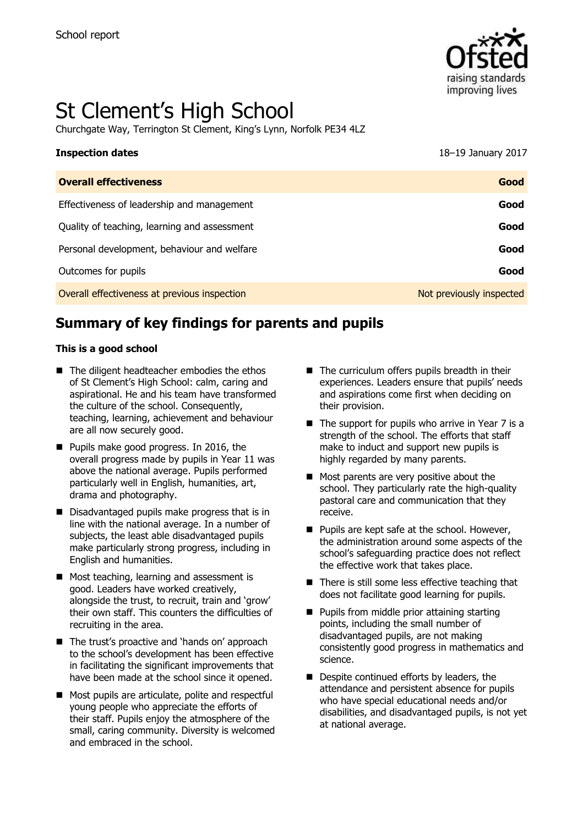

# St Clement's High School

Churchgate Way, Terrington St Clement, King's Lynn, Norfolk PE34 4LZ

| <b>Inspection dates</b>                      | 18-19 January 2017       |
|----------------------------------------------|--------------------------|
| <b>Overall effectiveness</b>                 | Good                     |
| Effectiveness of leadership and management   | Good                     |
| Quality of teaching, learning and assessment | Good                     |
| Personal development, behaviour and welfare  | Good                     |
| Outcomes for pupils                          | Good                     |
| Overall effectiveness at previous inspection | Not previously inspected |

# **Summary of key findings for parents and pupils**

### **This is a good school**

- The diligent headteacher embodies the ethos of St Clement's High School: calm, caring and aspirational. He and his team have transformed the culture of the school. Consequently, teaching, learning, achievement and behaviour are all now securely good.
- **Pupils make good progress. In 2016, the** overall progress made by pupils in Year 11 was above the national average. Pupils performed particularly well in English, humanities, art, drama and photography.
- Disadvantaged pupils make progress that is in line with the national average. In a number of subjects, the least able disadvantaged pupils make particularly strong progress, including in English and humanities.
- Most teaching, learning and assessment is good. Leaders have worked creatively, alongside the trust, to recruit, train and 'grow' their own staff. This counters the difficulties of recruiting in the area.
- The trust's proactive and 'hands on' approach to the school's development has been effective in facilitating the significant improvements that have been made at the school since it opened.
- Most pupils are articulate, polite and respectful young people who appreciate the efforts of their staff. Pupils enjoy the atmosphere of the small, caring community. Diversity is welcomed and embraced in the school.
- $\blacksquare$  The curriculum offers pupils breadth in their experiences. Leaders ensure that pupils' needs and aspirations come first when deciding on their provision.
- $\blacksquare$  The support for pupils who arrive in Year 7 is a strength of the school. The efforts that staff make to induct and support new pupils is highly regarded by many parents.
- Most parents are very positive about the school. They particularly rate the high-quality pastoral care and communication that they receive.
- $\blacksquare$  Pupils are kept safe at the school. However, the administration around some aspects of the school's safeguarding practice does not reflect the effective work that takes place.
- $\blacksquare$  There is still some less effective teaching that does not facilitate good learning for pupils.
- **Pupils from middle prior attaining starting** points, including the small number of disadvantaged pupils, are not making consistently good progress in mathematics and science.
- Despite continued efforts by leaders, the attendance and persistent absence for pupils who have special educational needs and/or disabilities, and disadvantaged pupils, is not yet at national average.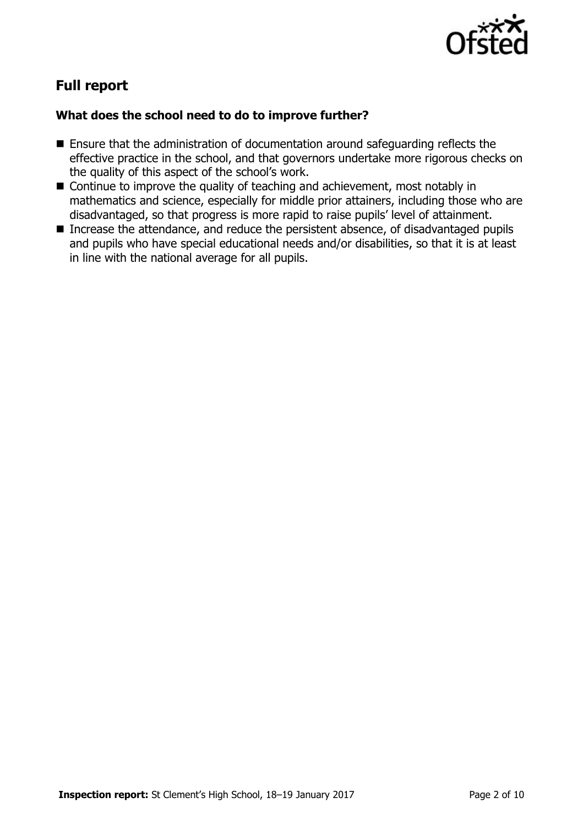

# **Full report**

### **What does the school need to do to improve further?**

- Ensure that the administration of documentation around safeguarding reflects the effective practice in the school, and that governors undertake more rigorous checks on the quality of this aspect of the school's work.
- Continue to improve the quality of teaching and achievement, most notably in mathematics and science, especially for middle prior attainers, including those who are disadvantaged, so that progress is more rapid to raise pupils' level of attainment.
- Increase the attendance, and reduce the persistent absence, of disadvantaged pupils and pupils who have special educational needs and/or disabilities, so that it is at least in line with the national average for all pupils.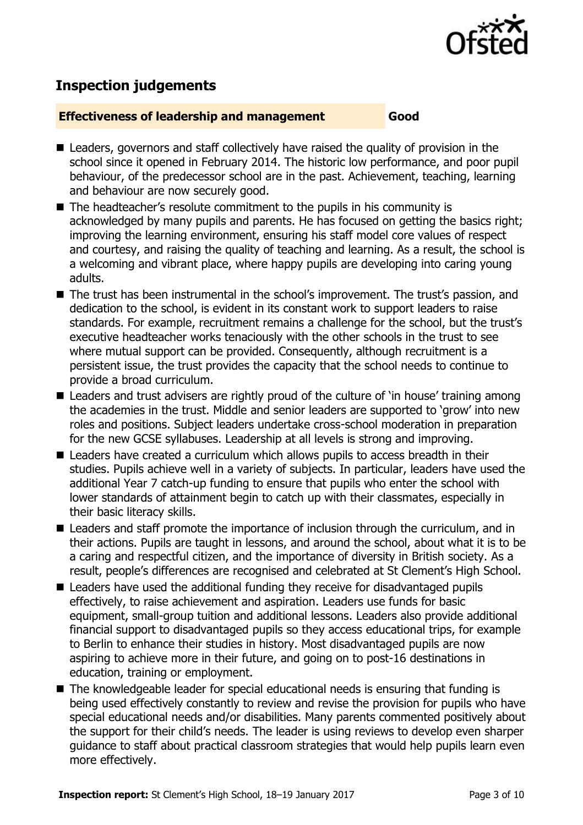

# **Inspection judgements**

### **Effectiveness of leadership and management Good**

- Leaders, governors and staff collectively have raised the quality of provision in the school since it opened in February 2014. The historic low performance, and poor pupil behaviour, of the predecessor school are in the past. Achievement, teaching, learning and behaviour are now securely good.
- The headteacher's resolute commitment to the pupils in his community is acknowledged by many pupils and parents. He has focused on getting the basics right; improving the learning environment, ensuring his staff model core values of respect and courtesy, and raising the quality of teaching and learning. As a result, the school is a welcoming and vibrant place, where happy pupils are developing into caring young adults.
- The trust has been instrumental in the school's improvement. The trust's passion, and dedication to the school, is evident in its constant work to support leaders to raise standards. For example, recruitment remains a challenge for the school, but the trust's executive headteacher works tenaciously with the other schools in the trust to see where mutual support can be provided. Consequently, although recruitment is a persistent issue, the trust provides the capacity that the school needs to continue to provide a broad curriculum.
- Leaders and trust advisers are rightly proud of the culture of 'in house' training among the academies in the trust. Middle and senior leaders are supported to 'grow' into new roles and positions. Subject leaders undertake cross-school moderation in preparation for the new GCSE syllabuses. Leadership at all levels is strong and improving.
- Leaders have created a curriculum which allows pupils to access breadth in their studies. Pupils achieve well in a variety of subjects. In particular, leaders have used the additional Year 7 catch-up funding to ensure that pupils who enter the school with lower standards of attainment begin to catch up with their classmates, especially in their basic literacy skills.
- Leaders and staff promote the importance of inclusion through the curriculum, and in their actions. Pupils are taught in lessons, and around the school, about what it is to be a caring and respectful citizen, and the importance of diversity in British society. As a result, people's differences are recognised and celebrated at St Clement's High School.
- Leaders have used the additional funding they receive for disadvantaged pupils effectively, to raise achievement and aspiration. Leaders use funds for basic equipment, small-group tuition and additional lessons. Leaders also provide additional financial support to disadvantaged pupils so they access educational trips, for example to Berlin to enhance their studies in history. Most disadvantaged pupils are now aspiring to achieve more in their future, and going on to post-16 destinations in education, training or employment.
- The knowledgeable leader for special educational needs is ensuring that funding is being used effectively constantly to review and revise the provision for pupils who have special educational needs and/or disabilities. Many parents commented positively about the support for their child's needs. The leader is using reviews to develop even sharper guidance to staff about practical classroom strategies that would help pupils learn even more effectively.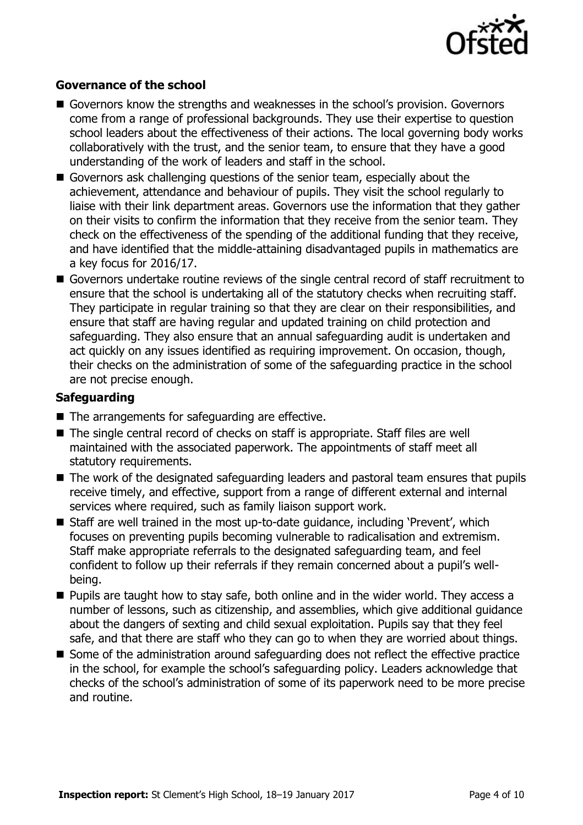

### **Governance of the school**

- Governors know the strengths and weaknesses in the school's provision. Governors come from a range of professional backgrounds. They use their expertise to question school leaders about the effectiveness of their actions. The local governing body works collaboratively with the trust, and the senior team, to ensure that they have a good understanding of the work of leaders and staff in the school.
- Governors ask challenging questions of the senior team, especially about the achievement, attendance and behaviour of pupils. They visit the school regularly to liaise with their link department areas. Governors use the information that they gather on their visits to confirm the information that they receive from the senior team. They check on the effectiveness of the spending of the additional funding that they receive, and have identified that the middle-attaining disadvantaged pupils in mathematics are a key focus for 2016/17.
- Governors undertake routine reviews of the single central record of staff recruitment to ensure that the school is undertaking all of the statutory checks when recruiting staff. They participate in regular training so that they are clear on their responsibilities, and ensure that staff are having regular and updated training on child protection and safeguarding. They also ensure that an annual safeguarding audit is undertaken and act quickly on any issues identified as requiring improvement. On occasion, though, their checks on the administration of some of the safeguarding practice in the school are not precise enough.

### **Safeguarding**

- $\blacksquare$  The arrangements for safeguarding are effective.
- The single central record of checks on staff is appropriate. Staff files are well maintained with the associated paperwork. The appointments of staff meet all statutory requirements.
- The work of the designated safeguarding leaders and pastoral team ensures that pupils receive timely, and effective, support from a range of different external and internal services where required, such as family liaison support work.
- Staff are well trained in the most up-to-date quidance, including 'Prevent', which focuses on preventing pupils becoming vulnerable to radicalisation and extremism. Staff make appropriate referrals to the designated safeguarding team, and feel confident to follow up their referrals if they remain concerned about a pupil's wellbeing.
- **Pupils are taught how to stay safe, both online and in the wider world. They access a** number of lessons, such as citizenship, and assemblies, which give additional guidance about the dangers of sexting and child sexual exploitation. Pupils say that they feel safe, and that there are staff who they can go to when they are worried about things.
- Some of the administration around safeguarding does not reflect the effective practice in the school, for example the school's safeguarding policy. Leaders acknowledge that checks of the school's administration of some of its paperwork need to be more precise and routine.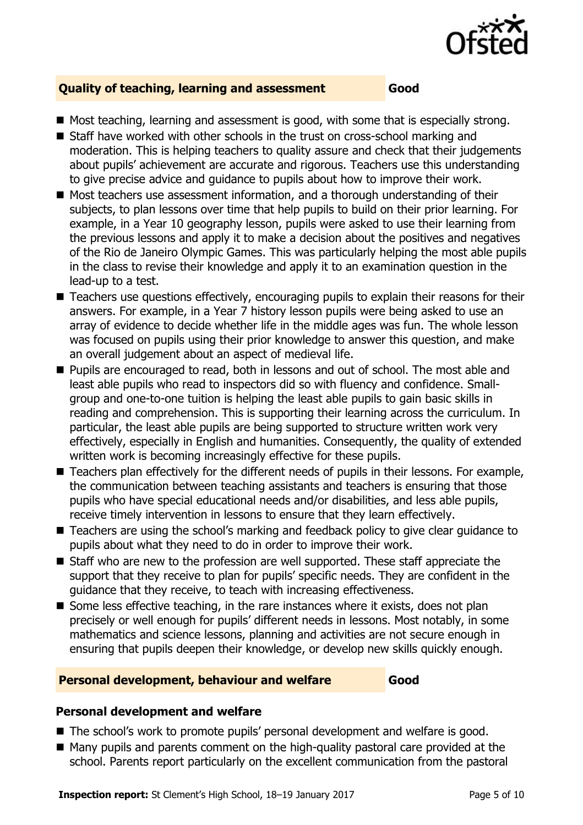

### **Quality of teaching, learning and assessment Good**

- $\blacksquare$  Most teaching, learning and assessment is good, with some that is especially strong.
- Staff have worked with other schools in the trust on cross-school marking and moderation. This is helping teachers to quality assure and check that their judgements about pupils' achievement are accurate and rigorous. Teachers use this understanding to give precise advice and guidance to pupils about how to improve their work.
- Most teachers use assessment information, and a thorough understanding of their subjects, to plan lessons over time that help pupils to build on their prior learning. For example, in a Year 10 geography lesson, pupils were asked to use their learning from the previous lessons and apply it to make a decision about the positives and negatives of the Rio de Janeiro Olympic Games. This was particularly helping the most able pupils in the class to revise their knowledge and apply it to an examination question in the lead-up to a test.
- Teachers use questions effectively, encouraging pupils to explain their reasons for their answers. For example, in a Year 7 history lesson pupils were being asked to use an array of evidence to decide whether life in the middle ages was fun. The whole lesson was focused on pupils using their prior knowledge to answer this question, and make an overall judgement about an aspect of medieval life.
- **Pupils are encouraged to read, both in lessons and out of school. The most able and** least able pupils who read to inspectors did so with fluency and confidence. Smallgroup and one-to-one tuition is helping the least able pupils to gain basic skills in reading and comprehension. This is supporting their learning across the curriculum. In particular, the least able pupils are being supported to structure written work very effectively, especially in English and humanities. Consequently, the quality of extended written work is becoming increasingly effective for these pupils.
- Teachers plan effectively for the different needs of pupils in their lessons. For example, the communication between teaching assistants and teachers is ensuring that those pupils who have special educational needs and/or disabilities, and less able pupils, receive timely intervention in lessons to ensure that they learn effectively.
- Teachers are using the school's marking and feedback policy to give clear guidance to pupils about what they need to do in order to improve their work.
- Staff who are new to the profession are well supported. These staff appreciate the support that they receive to plan for pupils' specific needs. They are confident in the guidance that they receive, to teach with increasing effectiveness.
- $\blacksquare$  Some less effective teaching, in the rare instances where it exists, does not plan precisely or well enough for pupils' different needs in lessons. Most notably, in some mathematics and science lessons, planning and activities are not secure enough in ensuring that pupils deepen their knowledge, or develop new skills quickly enough.

### **Personal development, behaviour and welfare Good**

### **Personal development and welfare**

- The school's work to promote pupils' personal development and welfare is good.
- Many pupils and parents comment on the high-quality pastoral care provided at the school. Parents report particularly on the excellent communication from the pastoral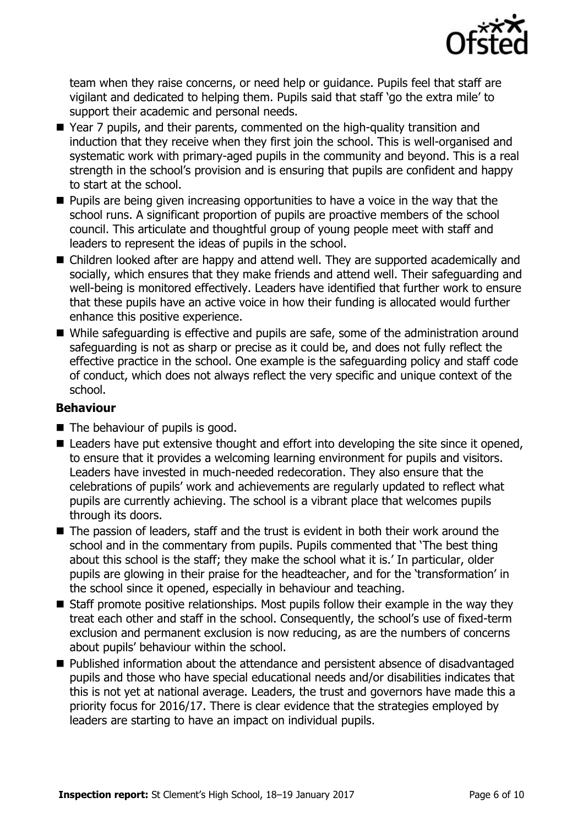

team when they raise concerns, or need help or guidance. Pupils feel that staff are vigilant and dedicated to helping them. Pupils said that staff 'go the extra mile' to support their academic and personal needs.

- Year 7 pupils, and their parents, commented on the high-quality transition and induction that they receive when they first join the school. This is well-organised and systematic work with primary-aged pupils in the community and beyond. This is a real strength in the school's provision and is ensuring that pupils are confident and happy to start at the school.
- **Pupils are being given increasing opportunities to have a voice in the way that the** school runs. A significant proportion of pupils are proactive members of the school council. This articulate and thoughtful group of young people meet with staff and leaders to represent the ideas of pupils in the school.
- Children looked after are happy and attend well. They are supported academically and socially, which ensures that they make friends and attend well. Their safeguarding and well-being is monitored effectively. Leaders have identified that further work to ensure that these pupils have an active voice in how their funding is allocated would further enhance this positive experience.
- While safeguarding is effective and pupils are safe, some of the administration around safeguarding is not as sharp or precise as it could be, and does not fully reflect the effective practice in the school. One example is the safeguarding policy and staff code of conduct, which does not always reflect the very specific and unique context of the school.

### **Behaviour**

- The behaviour of pupils is good.
- Leaders have put extensive thought and effort into developing the site since it opened, to ensure that it provides a welcoming learning environment for pupils and visitors. Leaders have invested in much-needed redecoration. They also ensure that the celebrations of pupils' work and achievements are regularly updated to reflect what pupils are currently achieving. The school is a vibrant place that welcomes pupils through its doors.
- The passion of leaders, staff and the trust is evident in both their work around the school and in the commentary from pupils. Pupils commented that 'The best thing about this school is the staff; they make the school what it is.' In particular, older pupils are glowing in their praise for the headteacher, and for the 'transformation' in the school since it opened, especially in behaviour and teaching.
- $\blacksquare$  Staff promote positive relationships. Most pupils follow their example in the way they treat each other and staff in the school. Consequently, the school's use of fixed-term exclusion and permanent exclusion is now reducing, as are the numbers of concerns about pupils' behaviour within the school.
- Published information about the attendance and persistent absence of disadvantaged pupils and those who have special educational needs and/or disabilities indicates that this is not yet at national average. Leaders, the trust and governors have made this a priority focus for 2016/17. There is clear evidence that the strategies employed by leaders are starting to have an impact on individual pupils.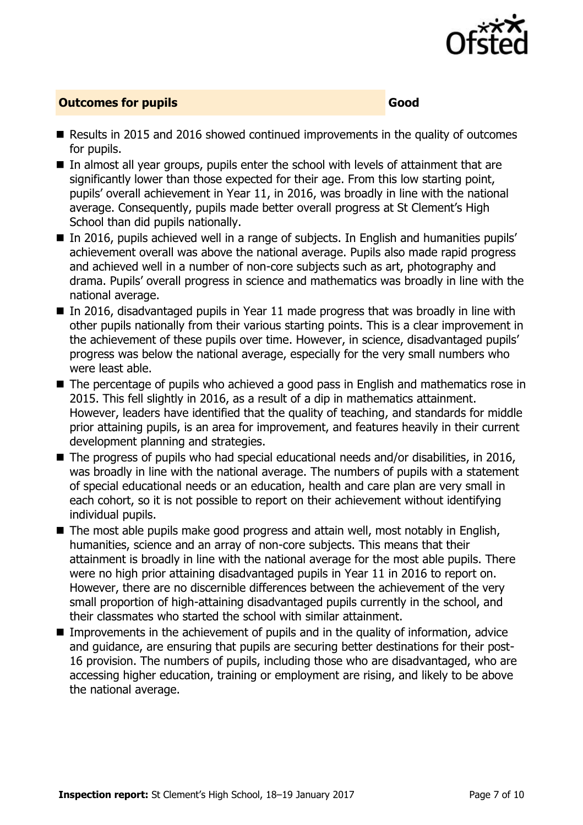

### **Outcomes for pupils Good**

- Results in 2015 and 2016 showed continued improvements in the quality of outcomes for pupils.
- In almost all year groups, pupils enter the school with levels of attainment that are significantly lower than those expected for their age. From this low starting point, pupils' overall achievement in Year 11, in 2016, was broadly in line with the national average. Consequently, pupils made better overall progress at St Clement's High School than did pupils nationally.
- In 2016, pupils achieved well in a range of subjects. In English and humanities pupils' achievement overall was above the national average. Pupils also made rapid progress and achieved well in a number of non-core subjects such as art, photography and drama. Pupils' overall progress in science and mathematics was broadly in line with the national average.
- In 2016, disadvantaged pupils in Year 11 made progress that was broadly in line with other pupils nationally from their various starting points. This is a clear improvement in the achievement of these pupils over time. However, in science, disadvantaged pupils' progress was below the national average, especially for the very small numbers who were least able.
- The percentage of pupils who achieved a good pass in English and mathematics rose in 2015. This fell slightly in 2016, as a result of a dip in mathematics attainment. However, leaders have identified that the quality of teaching, and standards for middle prior attaining pupils, is an area for improvement, and features heavily in their current development planning and strategies.
- The progress of pupils who had special educational needs and/or disabilities, in 2016, was broadly in line with the national average. The numbers of pupils with a statement of special educational needs or an education, health and care plan are very small in each cohort, so it is not possible to report on their achievement without identifying individual pupils.
- The most able pupils make good progress and attain well, most notably in English, humanities, science and an array of non-core subjects. This means that their attainment is broadly in line with the national average for the most able pupils. There were no high prior attaining disadvantaged pupils in Year 11 in 2016 to report on. However, there are no discernible differences between the achievement of the very small proportion of high-attaining disadvantaged pupils currently in the school, and their classmates who started the school with similar attainment.
- **IMPROM** Improvements in the achievement of pupils and in the quality of information, advice and guidance, are ensuring that pupils are securing better destinations for their post-16 provision. The numbers of pupils, including those who are disadvantaged, who are accessing higher education, training or employment are rising, and likely to be above the national average.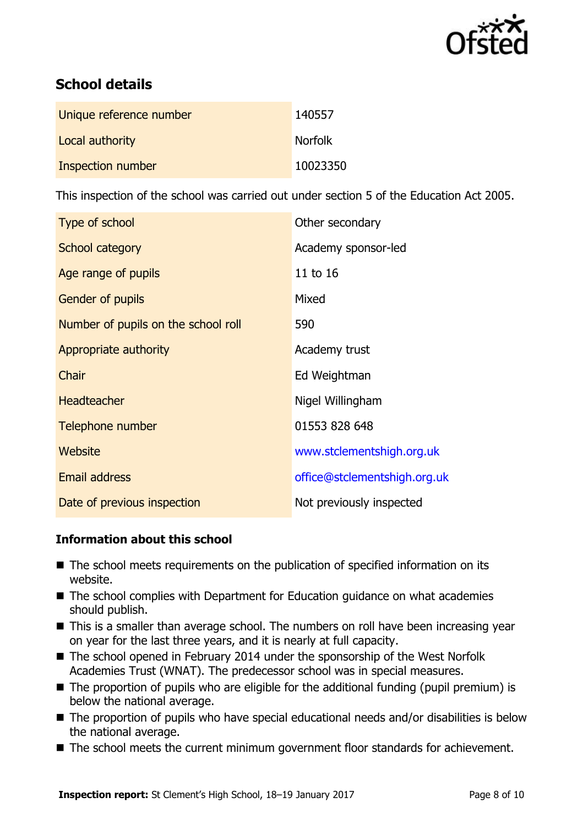

## **School details**

| Unique reference number | 140557         |
|-------------------------|----------------|
| Local authority         | <b>Norfolk</b> |
| Inspection number       | 10023350       |

This inspection of the school was carried out under section 5 of the Education Act 2005.

| Type of school                      | Other secondary              |  |
|-------------------------------------|------------------------------|--|
| School category                     | Academy sponsor-led          |  |
| Age range of pupils                 | 11 to 16                     |  |
| <b>Gender of pupils</b>             | Mixed                        |  |
| Number of pupils on the school roll | 590                          |  |
| Appropriate authority               | Academy trust                |  |
| Chair                               | Ed Weightman                 |  |
| <b>Headteacher</b>                  | Nigel Willingham             |  |
| Telephone number                    | 01553 828 648                |  |
| Website                             | www.stclementshigh.org.uk    |  |
| <b>Email address</b>                | office@stclementshigh.org.uk |  |
| Date of previous inspection         | Not previously inspected     |  |

### **Information about this school**

- The school meets requirements on the publication of specified information on its website.
- The school complies with Department for Education guidance on what academies should publish.
- This is a smaller than average school. The numbers on roll have been increasing year on year for the last three years, and it is nearly at full capacity.
- The school opened in February 2014 under the sponsorship of the West Norfolk Academies Trust (WNAT). The predecessor school was in special measures.
- The proportion of pupils who are eligible for the additional funding (pupil premium) is below the national average.
- The proportion of pupils who have special educational needs and/or disabilities is below the national average.
- The school meets the current minimum government floor standards for achievement.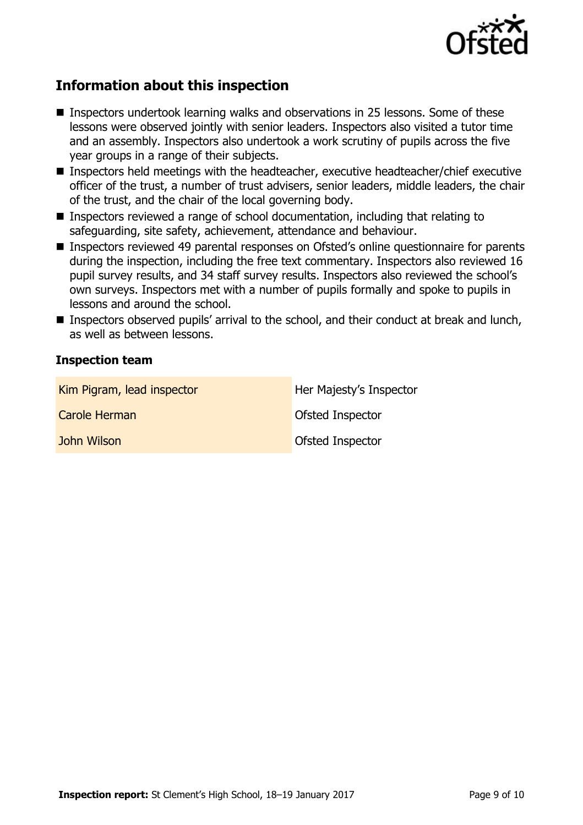

# **Information about this inspection**

- Inspectors undertook learning walks and observations in 25 lessons. Some of these lessons were observed jointly with senior leaders. Inspectors also visited a tutor time and an assembly. Inspectors also undertook a work scrutiny of pupils across the five year groups in a range of their subjects.
- Inspectors held meetings with the headteacher, executive headteacher/chief executive officer of the trust, a number of trust advisers, senior leaders, middle leaders, the chair of the trust, and the chair of the local governing body.
- Inspectors reviewed a range of school documentation, including that relating to safeguarding, site safety, achievement, attendance and behaviour.
- Inspectors reviewed 49 parental responses on Ofsted's online questionnaire for parents during the inspection, including the free text commentary. Inspectors also reviewed 16 pupil survey results, and 34 staff survey results. Inspectors also reviewed the school's own surveys. Inspectors met with a number of pupils formally and spoke to pupils in lessons and around the school.
- Inspectors observed pupils' arrival to the school, and their conduct at break and lunch, as well as between lessons.

### **Inspection team**

| Kim Pigram, lead inspector | Her Majesty's Inspector |
|----------------------------|-------------------------|
| Carole Herman              | Ofsted Inspector        |
| John Wilson                | <b>Ofsted Inspector</b> |